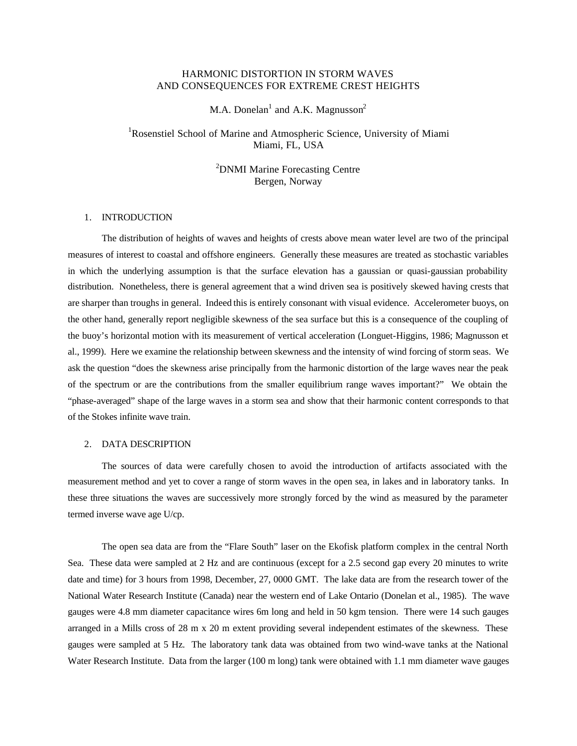## HARMONIC DISTORTION IN STORM WAVES AND CONSEQUENCES FOR EXTREME CREST HEIGHTS

M.A. Donelan<sup>1</sup> and A.K. Magnusson<sup>2</sup>

# <sup>1</sup>Rosenstiel School of Marine and Atmospheric Science, University of Miami Miami, FL, USA

<sup>2</sup>DNMI Marine Forecasting Centre Bergen, Norway

### 1. INTRODUCTION

The distribution of heights of waves and heights of crests above mean water level are two of the principal measures of interest to coastal and offshore engineers. Generally these measures are treated as stochastic variables in which the underlying assumption is that the surface elevation has a gaussian or quasi-gaussian probability distribution. Nonetheless, there is general agreement that a wind driven sea is positively skewed having crests that are sharper than troughs in general. Indeed this is entirely consonant with visual evidence. Accelerometer buoys, on the other hand, generally report negligible skewness of the sea surface but this is a consequence of the coupling of the buoy's horizontal motion with its measurement of vertical acceleration (Longuet-Higgins, 1986; Magnusson et al., 1999). Here we examine the relationship between skewness and the intensity of wind forcing of storm seas. We ask the question "does the skewness arise principally from the harmonic distortion of the large waves near the peak of the spectrum or are the contributions from the smaller equilibrium range waves important?" We obtain the "phase-averaged" shape of the large waves in a storm sea and show that their harmonic content corresponds to that of the Stokes infinite wave train.

### 2. DATA DESCRIPTION

The sources of data were carefully chosen to avoid the introduction of artifacts associated with the measurement method and yet to cover a range of storm waves in the open sea, in lakes and in laboratory tanks. In these three situations the waves are successively more strongly forced by the wind as measured by the parameter termed inverse wave age U/cp.

The open sea data are from the "Flare South" laser on the Ekofisk platform complex in the central North Sea. These data were sampled at 2 Hz and are continuous (except for a 2.5 second gap every 20 minutes to write date and time) for 3 hours from 1998, December, 27, 0000 GMT. The lake data are from the research tower of the National Water Research Institute (Canada) near the western end of Lake Ontario (Donelan et al., 1985). The wave gauges were 4.8 mm diameter capacitance wires 6m long and held in 50 kgm tension. There were 14 such gauges arranged in a Mills cross of 28 m x 20 m extent providing several independent estimates of the skewness. These gauges were sampled at 5 Hz. The laboratory tank data was obtained from two wind-wave tanks at the National Water Research Institute. Data from the larger (100 m long) tank were obtained with 1.1 mm diameter wave gauges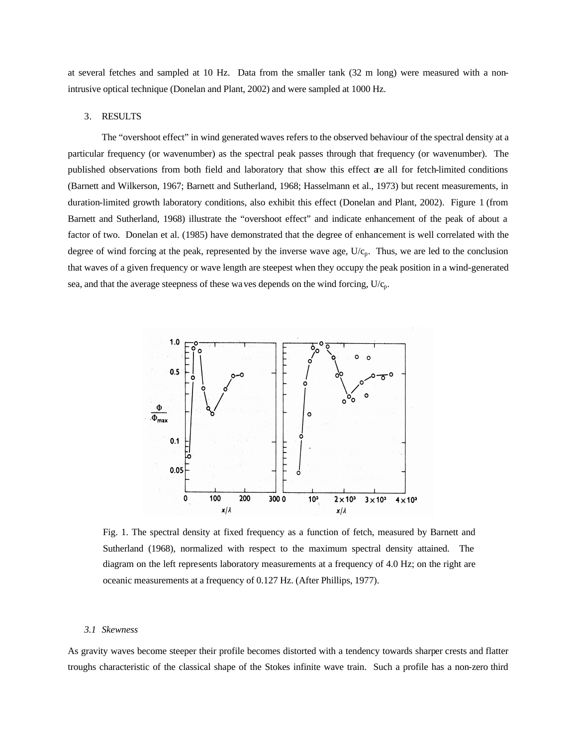at several fetches and sampled at 10 Hz. Data from the smaller tank (32 m long) were measured with a nonintrusive optical technique (Donelan and Plant, 2002) and were sampled at 1000 Hz.

### 3. RESULTS

The "overshoot effect" in wind generated waves refers to the observed behaviour of the spectral density at a particular frequency (or wavenumber) as the spectral peak passes through that frequency (or wavenumber). The published observations from both field and laboratory that show this effect are all for fetch-limited conditions (Barnett and Wilkerson, 1967; Barnett and Sutherland, 1968; Hasselmann et al., 1973) but recent measurements, in duration-limited growth laboratory conditions, also exhibit this effect (Donelan and Plant, 2002). Figure 1 (from Barnett and Sutherland, 1968) illustrate the "overshoot effect" and indicate enhancement of the peak of about a factor of two. Donelan et al. (1985) have demonstrated that the degree of enhancement is well correlated with the degree of wind forcing at the peak, represented by the inverse wave age,  $U/c_p$ . Thus, we are led to the conclusion that waves of a given frequency or wave length are steepest when they occupy the peak position in a wind-generated sea, and that the average steepness of these waves depends on the wind forcing,  $U/c_p$ .



Fig. 1. The spectral density at fixed frequency as a function of fetch, measured by Barnett and Sutherland (1968), normalized with respect to the maximum spectral density attained. The diagram on the left represents laboratory measurements at a frequency of 4.0 Hz; on the right are oceanic measurements at a frequency of 0.127 Hz. (After Phillips, 1977).

#### *3.1 Skewness*

As gravity waves become steeper their profile becomes distorted with a tendency towards sharper crests and flatter troughs characteristic of the classical shape of the Stokes infinite wave train. Such a profile has a non-zero third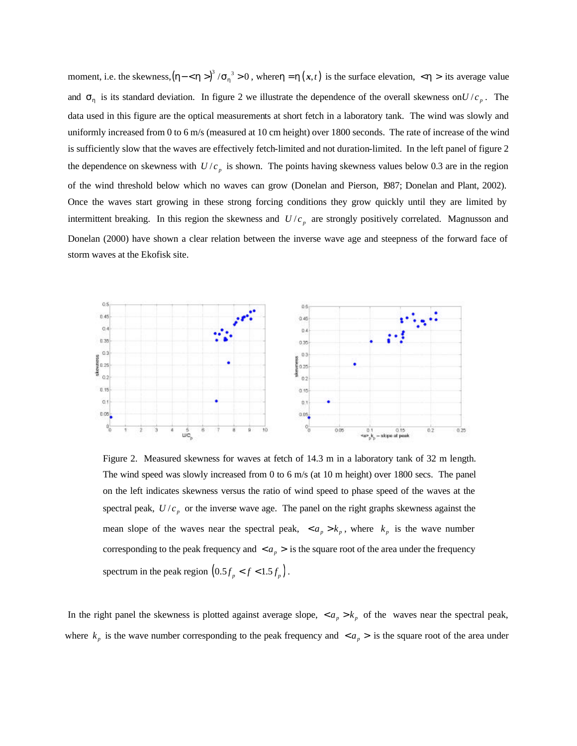moment, i.e. the skewness,  $(h - \langle h \rangle)^3 / s_h^3 > 0$ , where  $h = h(x, t)$  is the surface elevation,  $\langle h \rangle$  its average value and  $s_h$  is its standard deviation. In figure 2 we illustrate the dependence of the overall skewness on  $U/c_p$ . The data used in this figure are the optical measurements at short fetch in a laboratory tank. The wind was slowly and uniformly increased from 0 to 6 m/s (measured at 10 cm height) over 1800 seconds. The rate of increase of the wind is sufficiently slow that the waves are effectively fetch-limited and not duration-limited. In the left panel of figure 2 the dependence on skewness with  $U/c_p$  is shown. The points having skewness values below 0.3 are in the region of the wind threshold below which no waves can grow (Donelan and Pierson, 1987; Donelan and Plant, 2002). Once the waves start growing in these strong forcing conditions they grow quickly until they are limited by intermittent breaking. In this region the skewness and  $U/c_p$  are strongly positively correlated. Magnusson and Donelan (2000) have shown a clear relation between the inverse wave age and steepness of the forward face of storm waves at the Ekofisk site.



Figure 2. Measured skewness for waves at fetch of 14.3 m in a laboratory tank of 32 m length. The wind speed was slowly increased from 0 to 6 m/s (at 10 m height) over 1800 secs. The panel on the left indicates skewness versus the ratio of wind speed to phase speed of the waves at the spectral peak,  $U/c_p$  or the inverse wave age. The panel on the right graphs skewness against the mean slope of the waves near the spectral peak,  $\langle a_p \rangle k_p$ , where  $k_p$  is the wave number corresponding to the peak frequency and  $\langle a_p \rangle$  is the square root of the area under the frequency spectrum in the peak region  $(0.5f_p < f < 1.5f_p)$ .

In the right panel the skewness is plotted against average slope,  $a_p > k_p$  of the waves near the spectral peak, where  $k_p$  is the wave number corresponding to the peak frequency and  $\langle a_p \rangle$  is the square root of the area under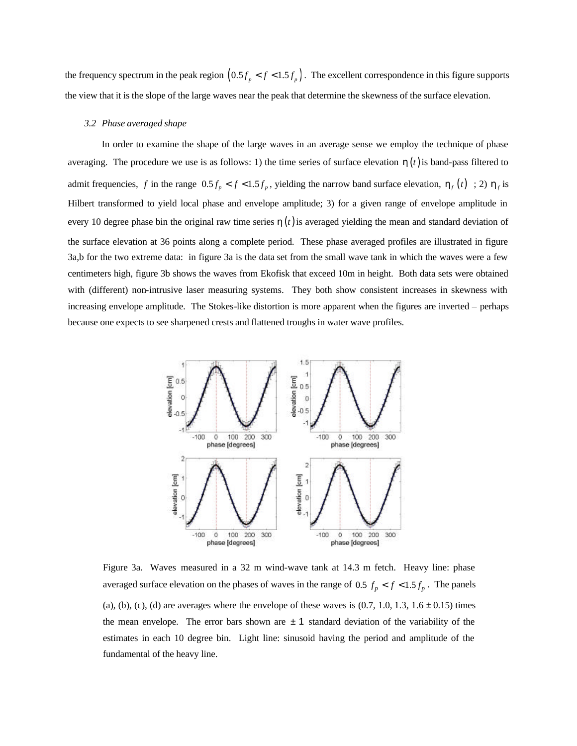the frequency spectrum in the peak region  $(0.5f_p < f < 1.5f_p)$ . The excellent correspondence in this figure supports the view that it is the slope of the large waves near the peak that determine the skewness of the surface elevation.

#### *3.2 Phase averaged shape*

In order to examine the shape of the large waves in an average sense we employ the technique of phase averaging. The procedure we use is as follows: 1) the time series of surface elevation  $h(t)$  is band-pass filtered to admit frequencies, f in the range  $0.5 f_p < f < 1.5 f_p$ , yielding the narrow band surface elevation,  $h_f(t)$ ; 2)  $h_f$  is Hilbert transformed to yield local phase and envelope amplitude; 3) for a given range of envelope amplitude in every 10 degree phase bin the original raw time series  $h(t)$  is averaged yielding the mean and standard deviation of the surface elevation at 36 points along a complete period. These phase averaged profiles are illustrated in figure 3a,b for the two extreme data: in figure 3a is the data set from the small wave tank in which the waves were a few centimeters high, figure 3b shows the waves from Ekofisk that exceed 10m in height. Both data sets were obtained with (different) non-intrusive laser measuring systems. They both show consistent increases in skewness with increasing envelope amplitude. The Stokes-like distortion is more apparent when the figures are inverted – perhaps because one expects to see sharpened crests and flattened troughs in water wave profiles.



Figure 3a. Waves measured in a 32 m wind-wave tank at 14.3 m fetch. Heavy line: phase averaged surface elevation on the phases of waves in the range of 0.5  $f_p < f < 1.5 f_p$ . The panels (a), (b), (c), (d) are averages where the envelope of these waves is  $(0.7, 1.0, 1.3, 1.6 \pm 0.15)$  times the mean envelope. The error bars shown are  $\pm 1$  standard deviation of the variability of the estimates in each 10 degree bin. Light line: sinusoid having the period and amplitude of the fundamental of the heavy line.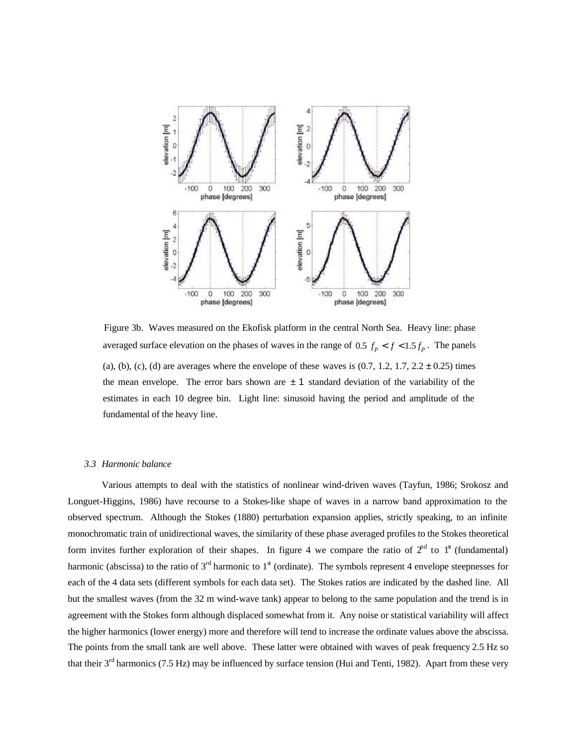

Figure 3b. Waves measured on the Ekofisk platform in the central North Sea. Heavy line: phase averaged surface elevation on the phases of waves in the range of 0.5  $f_p < f < 1.5 f_p$ . The panels (a), (b), (c), (d) are averages where the envelope of these waves is  $(0.7, 1.2, 1.7, 2.2 \pm 0.25)$  times the mean envelope. The error bars shown are  $\pm 1$  standard deviation of the variability of the estimates in each 10 degree bin. Light line: sinusoid having the period and amplitude of the fundamental of the heavy line.

#### *3.3 Harmonic balance*

Various attempts to deal with the statistics of nonlinear wind-driven waves (Tayfun, 1986; Srokosz and Longuet-Higgins, 1986) have recourse to a Stokes-like shape of waves in a narrow band approximation to the observed spectrum. Although the Stokes (1880) perturbation expansion applies, strictly speaking, to an infinite monochromatic train of unidirectional waves, the similarity of these phase averaged profiles to the Stokes theoretical form invites further exploration of their shapes. In figure 4 we compare the ratio of  $2<sup>nd</sup>$  to  $1<sup>st</sup>$  (fundamental) harmonic (abscissa) to the ratio of  $3<sup>rd</sup>$  harmonic to  $1<sup>st</sup>$  (ordinate). The symbols represent 4 envelope steepnesses for each of the 4 data sets (different symbols for each data set). The Stokes ratios are indicated by the dashed line. All but the smallest waves (from the 32 m wind-wave tank) appear to belong to the same population and the trend is in agreement with the Stokes form although displaced somewhat from it. Any noise or statistical variability will affect the higher harmonics (lower energy) more and therefore will tend to increase the ordinate values above the abscissa. The points from the small tank are well above. These latter were obtained with waves of peak frequency 2.5 Hz so that their 3<sup>rd</sup> harmonics (7.5 Hz) may be influenced by surface tension (Hui and Tenti, 1982). Apart from these very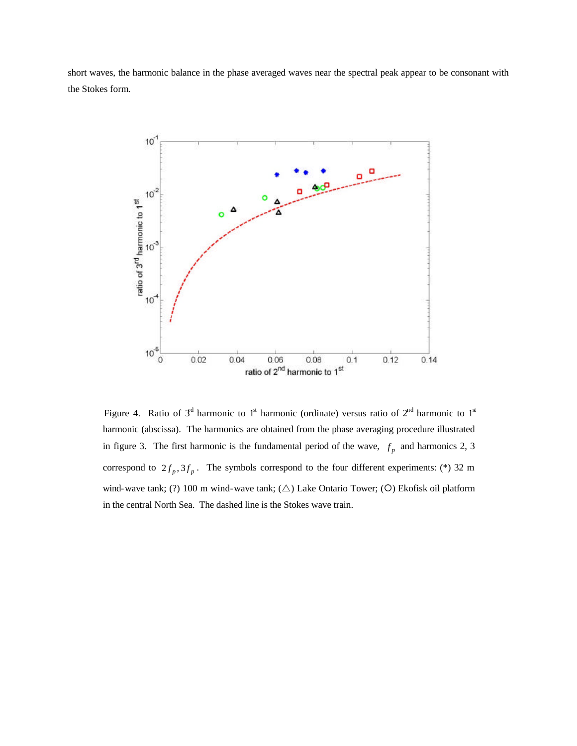short waves, the harmonic balance in the phase averaged waves near the spectral peak appear to be consonant with the Stokes form.



Figure 4. Ratio of  $3<sup>d</sup>$  harmonic to  $1<sup>d</sup>$  harmonic (ordinate) versus ratio of  $2<sup>nd</sup>$  harmonic to  $1<sup>d</sup>$ harmonic (abscissa). The harmonics are obtained from the phase averaging procedure illustrated in figure 3. The first harmonic is the fundamental period of the wave,  $f_p$  and harmonics 2, 3 correspond to  $2 f_p$ ,  $3 f_p$ . The symbols correspond to the four different experiments: (\*) 32 m wind-wave tank; (?) 100 m wind-wave tank;  $(\triangle)$  Lake Ontario Tower; (O) Ekofisk oil platform in the central North Sea. The dashed line is the Stokes wave train.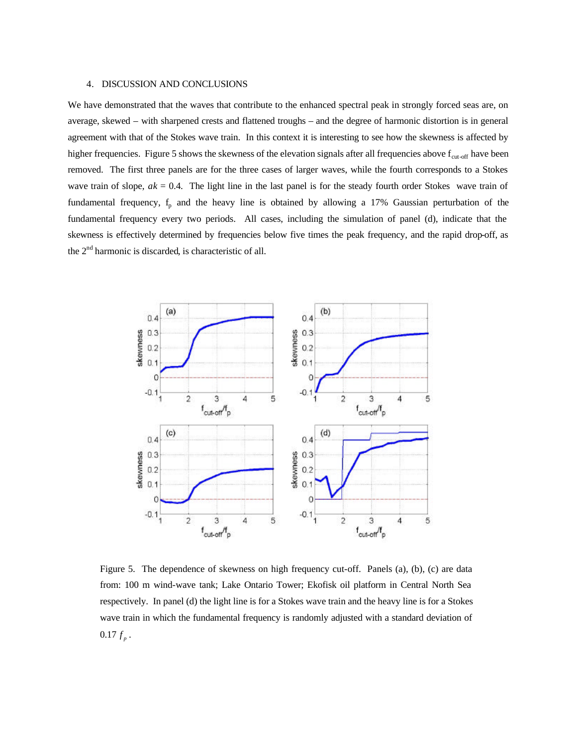### 4. DISCUSSION AND CONCLUSIONS

We have demonstrated that the waves that contribute to the enhanced spectral peak in strongly forced seas are, on average, skewed – with sharpened crests and flattened troughs – and the degree of harmonic distortion is in general agreement with that of the Stokes wave train. In this context it is interesting to see how the skewness is affected by higher frequencies. Figure 5 shows the skewness of the elevation signals after all frequencies above  $f_{cut-off}$  have been removed. The first three panels are for the three cases of larger waves, while the fourth corresponds to a Stokes wave train of slope,  $ak = 0.4$ . The light line in the last panel is for the steady fourth order Stokes wave train of fundamental frequency,  $f_p$  and the heavy line is obtained by allowing a 17% Gaussian perturbation of the fundamental frequency every two periods. All cases, including the simulation of panel (d), indicate that the skewness is effectively determined by frequencies below five times the peak frequency, and the rapid drop-off, as the  $2<sup>nd</sup>$  harmonic is discarded, is characteristic of all.



Figure 5. The dependence of skewness on high frequency cut-off. Panels (a), (b), (c) are data from: 100 m wind-wave tank; Lake Ontario Tower; Ekofisk oil platform in Central North Sea respectively. In panel (d) the light line is for a Stokes wave train and the heavy line is for a Stokes wave train in which the fundamental frequency is randomly adjusted with a standard deviation of  $0.17 f_p$  .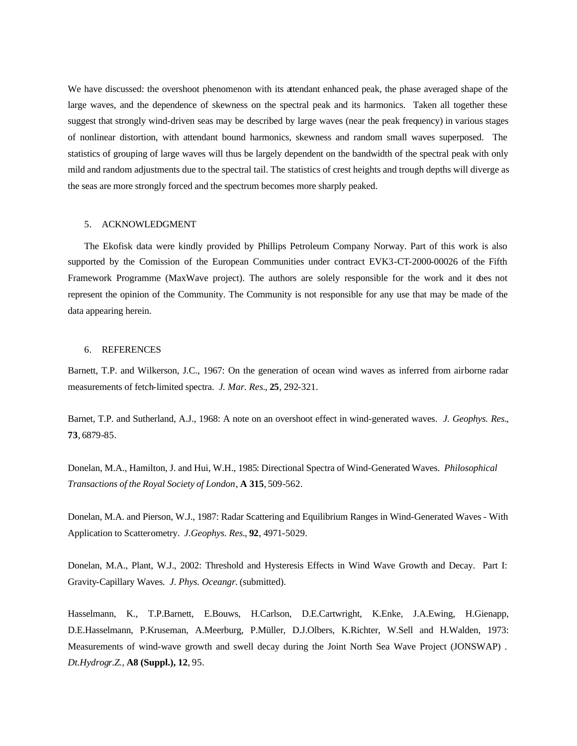We have discussed: the overshoot phenomenon with its attendant enhanced peak, the phase averaged shape of the large waves, and the dependence of skewness on the spectral peak and its harmonics. Taken all together these suggest that strongly wind-driven seas may be described by large waves (near the peak frequency) in various stages of nonlinear distortion, with attendant bound harmonics, skewness and random small waves superposed. The statistics of grouping of large waves will thus be largely dependent on the bandwidth of the spectral peak with only mild and random adjustments due to the spectral tail. The statistics of crest heights and trough depths will diverge as the seas are more strongly forced and the spectrum becomes more sharply peaked.

### 5. ACKNOWLEDGMENT

The Ekofisk data were kindly provided by Phillips Petroleum Company Norway. Part of this work is also supported by the Comission of the European Communities under contract EVK3-CT-2000-00026 of the Fifth Framework Programme (MaxWave project). The authors are solely responsible for the work and it does not represent the opinion of the Community. The Community is not responsible for any use that may be made of the data appearing herein.

#### 6. REFERENCES

Barnett, T.P. and Wilkerson, J.C., 1967: On the generation of ocean wind waves as inferred from airborne radar measurements of fetch-limited spectra. *J. Mar. Res.*, **25**, 292-321.

Barnet, T.P. and Sutherland, A.J., 1968: A note on an overshoot effect in wind-generated waves. *J. Geophys. Res.*, **73**, 6879-85.

Donelan, M.A., Hamilton, J. and Hui, W.H., 1985: Directional Spectra of Wind-Generated Waves. *Philosophical Transactions of the Royal Society of London*, **A 315**, 509-562.

Donelan, M.A. and Pierson, W.J., 1987: Radar Scattering and Equilibrium Ranges in Wind-Generated Waves - With Application to Scatterometry. *J.Geophys. Res.*, **92**, 4971-5029.

Donelan, M.A., Plant, W.J., 2002: Threshold and Hysteresis Effects in Wind Wave Growth and Decay. Part I: Gravity-Capillary Waves*. J. Phys. Oceangr.* (submitted).

Hasselmann, K., T.P.Barnett, E.Bouws, H.Carlson, D.E.Cartwright, K.Enke, J.A.Ewing, H.Gienapp, D.E.Hasselmann, P.Kruseman, A.Meerburg, P.Müller, D.J.Olbers, K.Richter, W.Sell and H.Walden, 1973: Measurements of wind-wave growth and swell decay during the Joint North Sea Wave Project (JONSWAP) . *Dt.Hydrogr.Z.,* **A8 (Suppl.), 12**, 95.